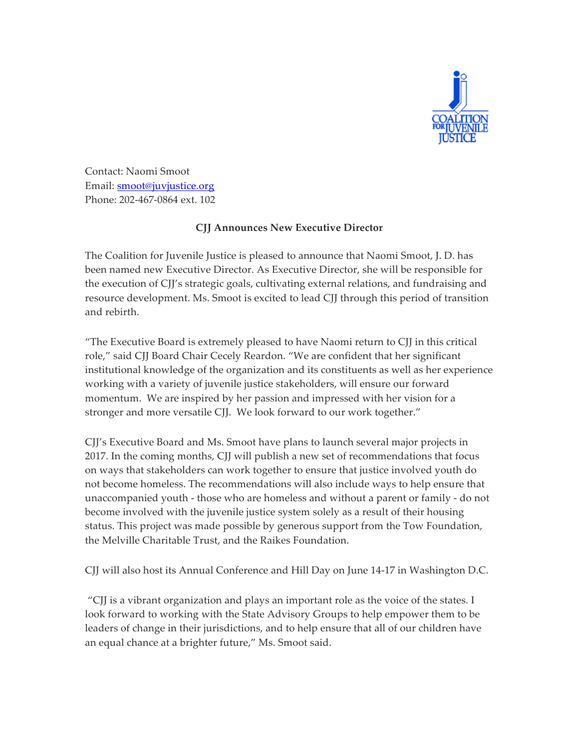

Contact: Naomi Smoot Email: smoot@juvjustice.org Phone: 202-467-0864 ext. 102

## **CJJ Announces New Executive Director**

The Coalition for Juvenile Justice is pleased to announce that Naomi Smoot, J. D. has been named new Executive Director. As Executive Director, she will be responsible for the execution of CJJ's strategic goals, cultivating external relations, and fundraising and resource development. Ms. Smoot is excited to lead CJJ through this period of transition and rebirth.

"The Executive Board is extremely pleased to have Naomi return to CJJ in this critical role," said CJJ Board Chair Cecely Reardon. "We are confident that her significant institutional knowledge of the organization and its constituents as well as her experience working with a variety of juvenile justice stakeholders, will ensure our forward momentum. We are inspired by her passion and impressed with her vision for a stronger and more versatile CJJ. We look forward to our work together."

CJJ's Executive Board and Ms. Smoot have plans to launch several major projects in 2017. In the coming months, CJJ will publish a new set of recommendations that focus on ways that stakeholders can work together to ensure that justice involved youth do not become homeless. The recommendations will also include ways to help ensure that unaccompanied youth - those who are homeless and without a parent or family - do not become involved with the juvenile justice system solely as a result of their housing status. This project was made possible by generous support from the Tow Foundation, the Melville Charitable Trust, and the Raikes Foundation.

CJJ will also host its Annual Conference and Hill Day on June 14-17 in Washington D.C.

"CJJ is a vibrant organization and plays an important role as the voice of the states. I look forward to working with the State Advisory Groups to help empower them to be leaders of change in their jurisdictions, and to help ensure that all of our children have an equal chance at a brighter future," Ms. Smoot said.